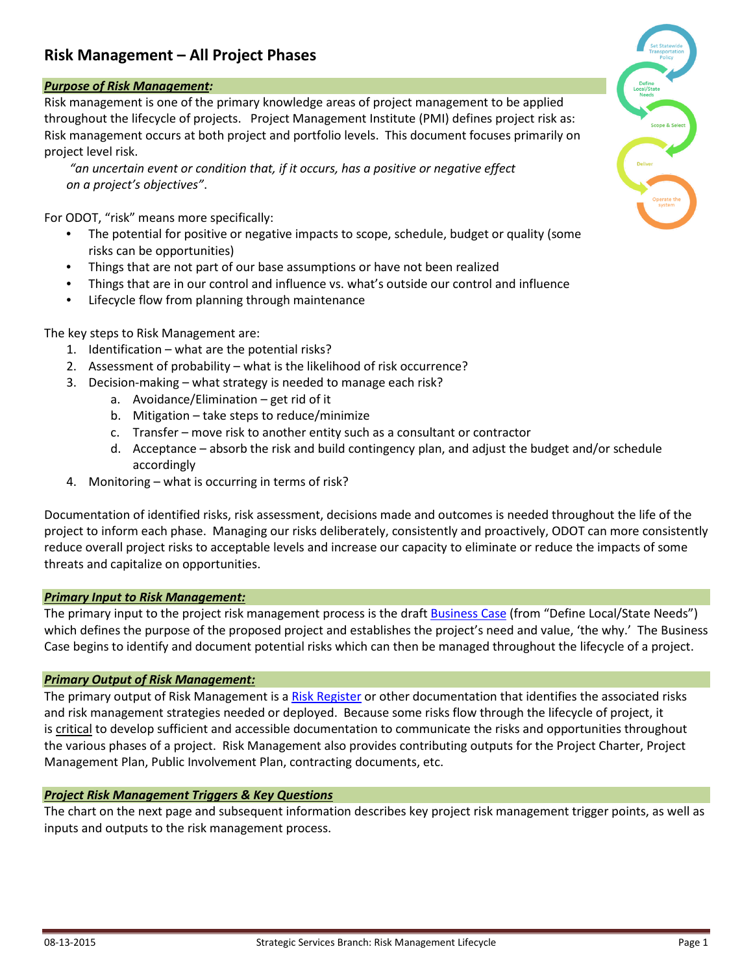# **Risk Management – All Project Phases**

## *Purpose of Risk Management:*

Risk management is one of the primary knowledge areas of project management to be applied throughout the lifecycle of projects. Project Management Institute (PMI) defines project risk as: Risk management occurs at both project and portfolio levels. This document focuses primarily on project level risk.

*"an uncertain event or condition that, if it occurs, has a positive or negative effect on a project's objectives"*.

For ODOT, "risk" means more specifically:

- The potential for positive or negative impacts to scope, schedule, budget or quality (some risks can be opportunities)
- Things that are not part of our base assumptions or have not been realized
- Things that are in our control and influence vs. what's outside our control and influence
- Lifecycle flow from planning through maintenance

The key steps to Risk Management are:

- 1. Identification what are the potential risks?
- 2. Assessment of probability what is the likelihood of risk occurrence?
- 3. Decision-making what strategy is needed to manage each risk?
	- a. Avoidance/Elimination get rid of it
	- b. Mitigation take steps to reduce/minimize
	- c. Transfer move risk to another entity such as a consultant or contractor
	- d. Acceptance absorb the risk and build contingency plan, and adjust the budget and/or schedule accordingly
- 4. Monitoring what is occurring in terms of risk?

Documentation of identified risks, risk assessment, decisions made and outcomes is needed throughout the life of the project to inform each phase. Managing our risks deliberately, consistently and proactively, ODOT can more consistently reduce overall project risks to acceptable levels and increase our capacity to eliminate or reduce the impacts of some threats and capitalize on opportunities.

## *Primary Input to Risk Management:*

The primary input to the project risk management process is the draft [Business Case](http://transnet.odot.state.or.us/od/IO/Pages/ProjectInitiationEnhancements.aspx?PageView=Shared&InitialTabId=Ribbon.WebPartPage&VisibilityContext=WSSWebPartPage) (from "Define Local/State Needs") which defines the purpose of the proposed project and establishes the project's need and value, 'the why.' The Business Case begins to identify and document potential risks which can then be managed throughout the lifecycle of a project.

#### *Primary Output of Risk Management:*

The primary output of Risk Management is a [Risk Register](http://transnet.odot.state.or.us/hwy/TSpdlt/Shared%20Documents/Risk%20Management%20Initiative/Reference%20Materials/Project%20Risk%20Register.xls) or other documentation that identifies the associated risks and risk management strategies needed or deployed. Because some risks flow through the lifecycle of project, it is critical to develop sufficient and accessible documentation to communicate the risks and opportunities throughout the various phases of a project. Risk Management also provides contributing outputs for the Project Charter, Project Management Plan, Public Involvement Plan, contracting documents, etc.

## *Project Risk Management Triggers & Key Questions*

The chart on the next page and subsequent information describes key project risk management trigger points, as well as inputs and outputs to the risk management process.

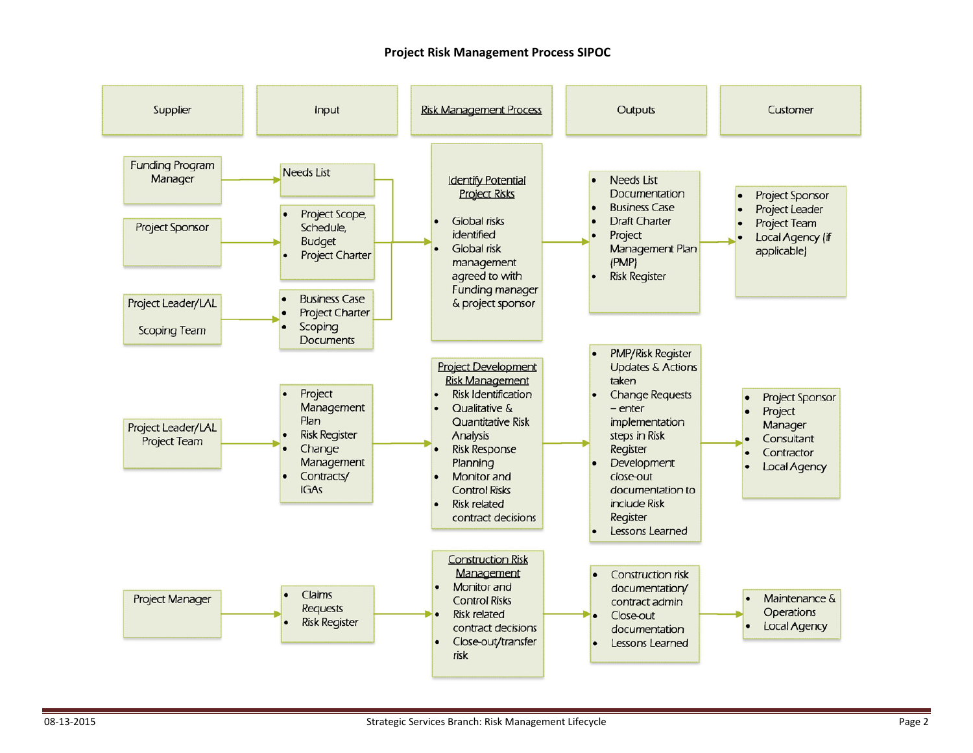#### **Project Risk Management Process SIPOC**

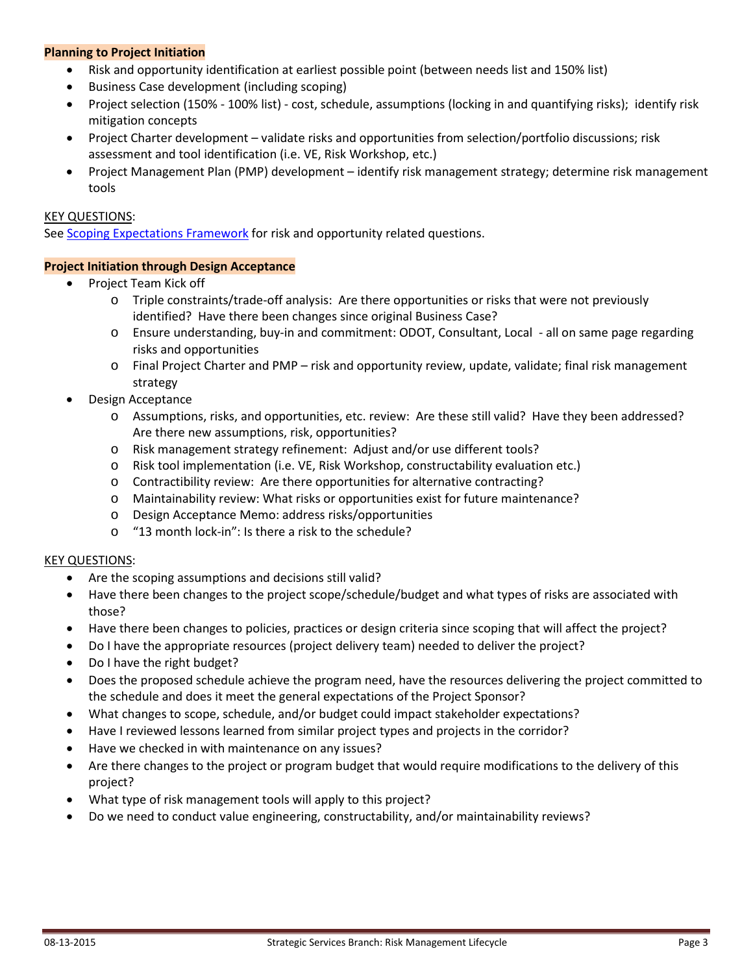### **Planning to Project Initiation**

- Risk and opportunity identification at earliest possible point (between needs list and 150% list)
- Business Case development (including scoping)
- Project selection (150% 100% list) cost, schedule, assumptions (locking in and quantifying risks); identify risk mitigation concepts
- Project Charter development validate risks and opportunities from selection/portfolio discussions; risk assessment and tool identification (i.e. VE, Risk Workshop, etc.)
- Project Management Plan (PMP) development identify risk management strategy; determine risk management tools

### KEY QUESTIONS:

Se[e Scoping Expectations Framework](http://transnet.odot.state.or.us/hwy/SSLT/SiteAssets/SitePages/ScopingFramework/ScopingExpectationsFrameworkPackage_FINAL_2015-06-06.pdf) for risk and opportunity related questions.

#### **Project Initiation through Design Acceptance**

- Project Team Kick off
	- o Triple constraints/trade-off analysis: Are there opportunities or risks that were not previously identified? Have there been changes since original Business Case?
	- o Ensure understanding, buy-in and commitment: ODOT, Consultant, Local all on same page regarding risks and opportunities
	- o Final Project Charter and PMP risk and opportunity review, update, validate; final risk management strategy
- Design Acceptance
	- o Assumptions, risks, and opportunities, etc. review: Are these still valid? Have they been addressed? Are there new assumptions, risk, opportunities?
	- o Risk management strategy refinement: Adjust and/or use different tools?
	- o Risk tool implementation (i.e. VE, Risk Workshop, constructability evaluation etc.)
	- o Contractibility review: Are there opportunities for alternative contracting?
	- o Maintainability review: What risks or opportunities exist for future maintenance?
	- o Design Acceptance Memo: address risks/opportunities
	- o "13 month lock-in": Is there a risk to the schedule?

## KEY QUESTIONS:

- Are the scoping assumptions and decisions still valid?
- Have there been changes to the project scope/schedule/budget and what types of risks are associated with those?
- Have there been changes to policies, practices or design criteria since scoping that will affect the project?
- Do I have the appropriate resources (project delivery team) needed to deliver the project?
- Do I have the right budget?
- Does the proposed schedule achieve the program need, have the resources delivering the project committed to the schedule and does it meet the general expectations of the Project Sponsor?
- What changes to scope, schedule, and/or budget could impact stakeholder expectations?
- Have I reviewed lessons learned from similar project types and projects in the corridor?
- Have we checked in with maintenance on any issues?
- Are there changes to the project or program budget that would require modifications to the delivery of this project?
- What type of risk management tools will apply to this project?
- Do we need to conduct value engineering, constructability, and/or maintainability reviews?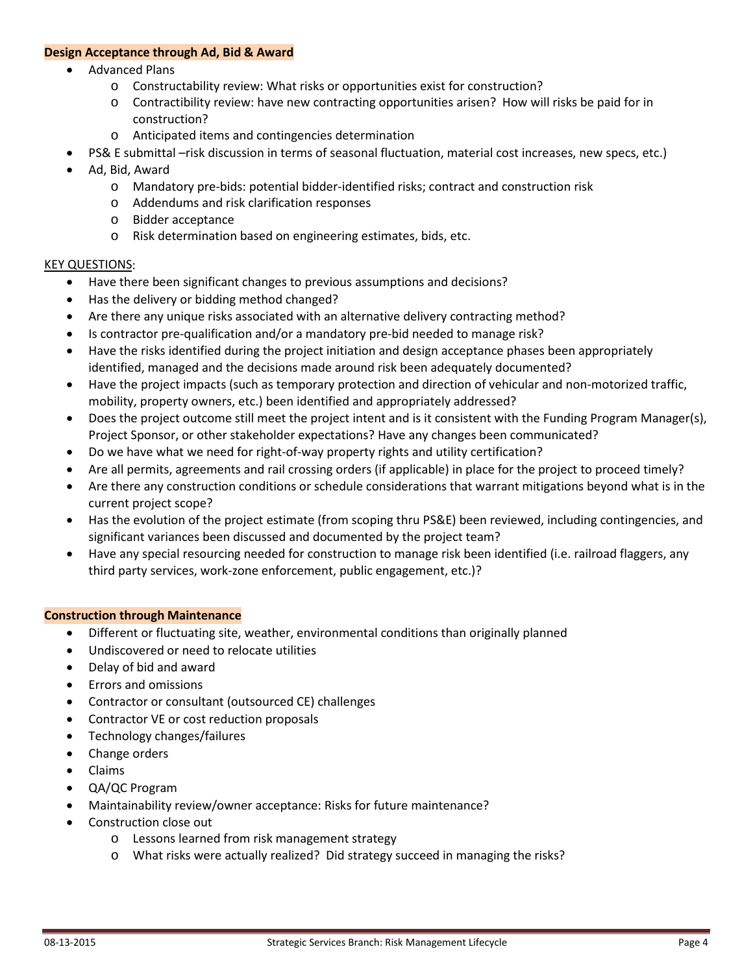#### **Design Acceptance through Ad, Bid & Award**

- Advanced Plans
	- o Constructability review: What risks or opportunities exist for construction?
	- o Contractibility review: have new contracting opportunities arisen? How will risks be paid for in construction?
	- o Anticipated items and contingencies determination
- PS& E submittal –risk discussion in terms of seasonal fluctuation, material cost increases, new specs, etc.)
- Ad, Bid, Award
	- o Mandatory pre-bids: potential bidder-identified risks; contract and construction risk
	- o Addendums and risk clarification responses
	- o Bidder acceptance
	- o Risk determination based on engineering estimates, bids, etc.

#### KEY QUESTIONS:

- Have there been significant changes to previous assumptions and decisions?
- Has the delivery or bidding method changed?
- Are there any unique risks associated with an alternative delivery contracting method?
- Is contractor pre-qualification and/or a mandatory pre-bid needed to manage risk?
- Have the risks identified during the project initiation and design acceptance phases been appropriately identified, managed and the decisions made around risk been adequately documented?
- Have the project impacts (such as temporary protection and direction of vehicular and non-motorized traffic, mobility, property owners, etc.) been identified and appropriately addressed?
- Does the project outcome still meet the project intent and is it consistent with the Funding Program Manager(s), Project Sponsor, or other stakeholder expectations? Have any changes been communicated?
- Do we have what we need for right-of-way property rights and utility certification?
- Are all permits, agreements and rail crossing orders (if applicable) in place for the project to proceed timely?
- Are there any construction conditions or schedule considerations that warrant mitigations beyond what is in the current project scope?
- Has the evolution of the project estimate (from scoping thru PS&E) been reviewed, including contingencies, and significant variances been discussed and documented by the project team?
- Have any special resourcing needed for construction to manage risk been identified (i.e. railroad flaggers, any third party services, work-zone enforcement, public engagement, etc.)?

## **Construction through Maintenance**

- Different or fluctuating site, weather, environmental conditions than originally planned
- Undiscovered or need to relocate utilities
- Delay of bid and award
- Errors and omissions
- Contractor or consultant (outsourced CE) challenges
- Contractor VE or cost reduction proposals
- Technology changes/failures
- Change orders
- Claims
- QA/QC Program
- Maintainability review/owner acceptance: Risks for future maintenance?
- Construction close out
	- o Lessons learned from risk management strategy
	- o What risks were actually realized? Did strategy succeed in managing the risks?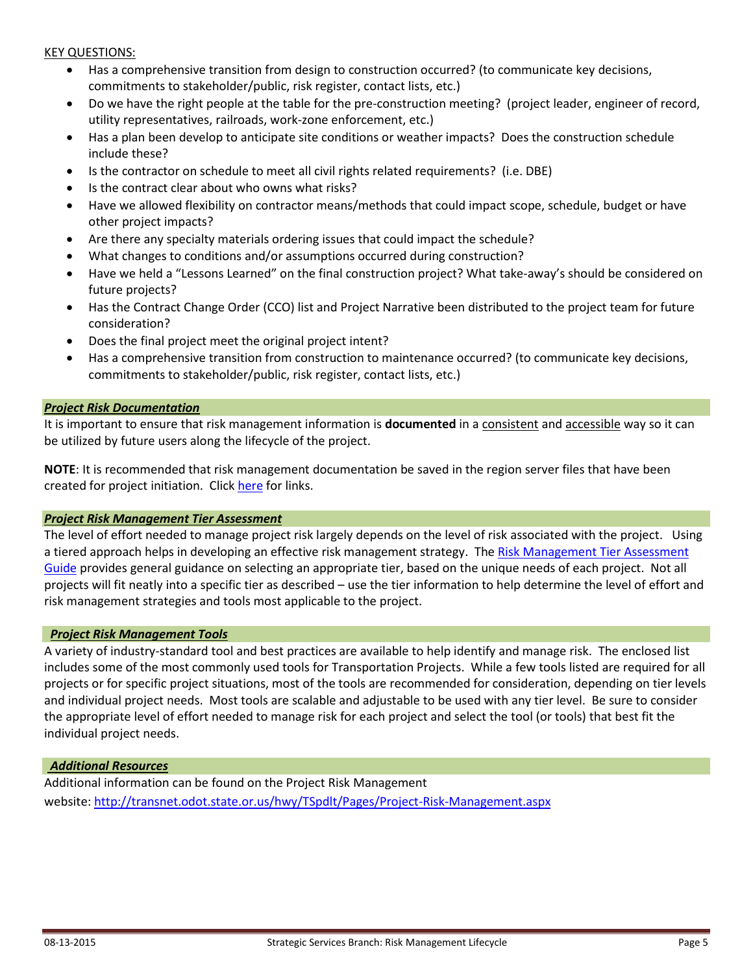#### KEY QUESTIONS:

- Has a comprehensive transition from design to construction occurred? (to communicate key decisions, commitments to stakeholder/public, risk register, contact lists, etc.)
- Do we have the right people at the table for the pre-construction meeting? (project leader, engineer of record, utility representatives, railroads, work-zone enforcement, etc.)
- Has a plan been develop to anticipate site conditions or weather impacts? Does the construction schedule include these?
- Is the contractor on schedule to meet all civil rights related requirements? (i.e. DBE)
- Is the contract clear about who owns what risks?
- Have we allowed flexibility on contractor means/methods that could impact scope, schedule, budget or have other project impacts?
- Are there any specialty materials ordering issues that could impact the schedule?
- What changes to conditions and/or assumptions occurred during construction?
- Have we held a "Lessons Learned" on the final construction project? What take-away's should be considered on future projects?
- Has the Contract Change Order (CCO) list and Project Narrative been distributed to the project team for future consideration?
- Does the final project meet the original project intent?
- Has a comprehensive transition from construction to maintenance occurred? (to communicate key decisions, commitments to stakeholder/public, risk register, contact lists, etc.)

#### *Project Risk Documentation*

It is important to ensure that risk management information is **documented** in a consistent and accessible way so it can be utilized by future users along the lifecycle of the project.

**NOTE**: It is recommended that risk management documentation be saved in the region server files that have been created for project initiation. Click [here](http://transnet.odot.state.or.us/od/IO/Pages/ProjectInitiationEnhancements.aspx?PageView=Shared&InitialTabId=Ribbon.WebPartPage&VisibilityContext=WSSWebPartPage) for links.

#### *Project Risk Management Tier Assessment*

The level of effort needed to manage project risk largely depends on the level of risk associated with the project. Using a tiered approach helps in developing an effective risk management strategy. The Risk Management Tier Assessment [Guide](#page-6-0) provides general guidance on selecting an appropriate tier, based on the unique needs of each project. Not all projects will fit neatly into a specific tier as described – use the tier information to help determine the level of effort and risk management strategies and tools most applicable to the project.

#### *Project Risk Management Tools*

A variety of industry-standard tool and best practices are available to help identify and manage risk. The enclosed list includes some of the most commonly used tools for Transportation Projects. While a few tools listed are required for all projects or for specific project situations, most of the tools are recommended for consideration, depending on tier levels and individual project needs. Most tools are scalable and adjustable to be used with any tier level. Be sure to consider the appropriate level of effort needed to manage risk for each project and select the tool (or tools) that best fit the individual project needs.

#### *Additional Resources*

Additional information can be found on the Project Risk Management website[: http://transnet.odot.state.or.us/hwy/TSpdlt/Pages/Project-Risk-Management.aspx](http://transnet.odot.state.or.us/hwy/TSpdlt/Pages/Project-Risk-Management.aspx)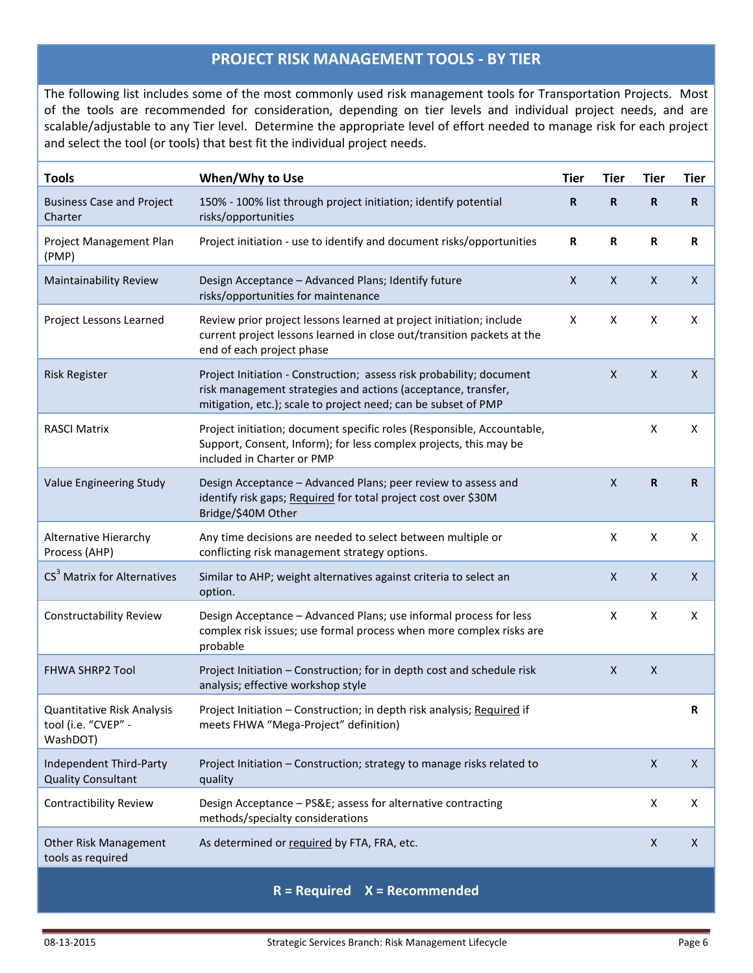## **PROJECT RISK MANAGEMENT TOOLS - BY TIER**

The following list includes some of the most commonly used risk management tools for Transportation Projects. Most of the tools are recommended for consideration, depending on tier levels and individual project needs, and are scalable/adjustable to any Tier level. Determine the appropriate level of effort needed to manage risk for each project and select the tool (or tools) that best fit the individual project needs.

| <b>Tools</b>                                                  | When/Why to Use                                                                                                                                                                                         | <b>Tier</b>  | Tier        | <b>Tier</b>        | Tier                      |
|---------------------------------------------------------------|---------------------------------------------------------------------------------------------------------------------------------------------------------------------------------------------------------|--------------|-------------|--------------------|---------------------------|
| <b>Business Case and Project</b><br>Charter                   | 150% - 100% list through project initiation; identify potential<br>risks/opportunities                                                                                                                  | $\mathbf R$  | $\mathbf R$ | R                  | $\mathbf R$               |
| Project Management Plan<br>(PMP)                              | Project initiation - use to identify and document risks/opportunities                                                                                                                                   | R            | R           | R                  | R                         |
| Maintainability Review                                        | Design Acceptance - Advanced Plans; Identify future<br>risks/opportunities for maintenance                                                                                                              | $\mathsf{X}$ | X           | $\mathsf{X}$       | $\boldsymbol{\mathsf{X}}$ |
| Project Lessons Learned                                       | Review prior project lessons learned at project initiation; include<br>current project lessons learned in close out/transition packets at the<br>end of each project phase                              | X            | X           | X                  | X                         |
| <b>Risk Register</b>                                          | Project Initiation - Construction; assess risk probability; document<br>risk management strategies and actions (acceptance, transfer,<br>mitigation, etc.); scale to project need; can be subset of PMP |              | X           | $\pmb{\times}$     | $\mathsf{X}$              |
| <b>RASCI Matrix</b>                                           | Project initiation; document specific roles (Responsible, Accountable,<br>Support, Consent, Inform); for less complex projects, this may be<br>included in Charter or PMP                               |              |             | X                  | X                         |
| Value Engineering Study                                       | Design Acceptance - Advanced Plans; peer review to assess and<br>identify risk gaps; Required for total project cost over \$30M<br>Bridge/\$40M Other                                                   |              | X           | R                  | $\mathbf R$               |
| Alternative Hierarchy<br>Process (AHP)                        | Any time decisions are needed to select between multiple or<br>conflicting risk management strategy options.                                                                                            |              | X           | X                  | X                         |
| CS <sup>3</sup> Matrix for Alternatives                       | Similar to AHP; weight alternatives against criteria to select an<br>option.                                                                                                                            |              | X           | $\pmb{\times}$     | $\mathsf{X}$              |
| <b>Constructability Review</b>                                | Design Acceptance - Advanced Plans; use informal process for less<br>complex risk issues; use formal process when more complex risks are<br>probable                                                    |              | X           | X                  | X                         |
| <b>FHWA SHRP2 Tool</b>                                        | Project Initiation - Construction; for in depth cost and schedule risk<br>analysis; effective workshop style                                                                                            |              | X           | $\pmb{\times}$     |                           |
| Quantitative Risk Analysis<br>tool (i.e. "CVEP" -<br>WashDOT) | Project Initiation - Construction; in depth risk analysis; Required if<br>meets FHWA "Mega-Project" definition)                                                                                         |              |             |                    | R                         |
| Independent Third-Party<br><b>Quality Consultant</b>          | Project Initiation - Construction; strategy to manage risks related to<br>quality                                                                                                                       |              |             | $\pmb{\mathsf{X}}$ | $\pmb{\times}$            |
| Contractibility Review                                        | Design Acceptance - PS&E assess for alternative contracting<br>methods/specialty considerations                                                                                                         |              |             | X                  | Χ                         |
| Other Risk Management<br>tools as required                    | As determined or required by FTA, FRA, etc.                                                                                                                                                             |              |             | $\pmb{\times}$     | $\mathsf{X}$              |
|                                                               |                                                                                                                                                                                                         |              |             |                    |                           |

**R = Required X = Recommended**